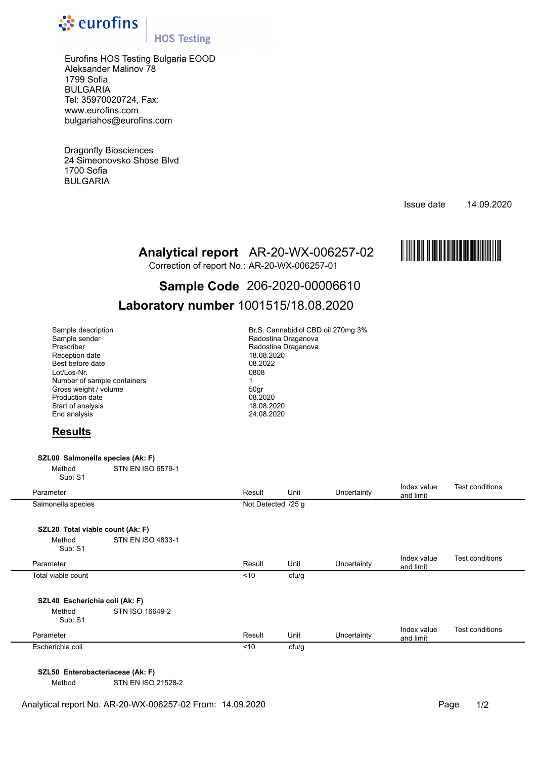

# **HOS Testing**

Eurofins HOS Testing Bulgaria EOOD Aleksander Malinov 78 1799 Sofia BULGARIA Tel: 35970020724, Fax: www.eurofins.com bulgariahos@eurofins.com

Dragonfly Biosciences 24 Simeonovsko Shose Blvd 1700 Sofia BULGARIA

Issue date 14.09.2020



Correction of report No.: AR-20-WX-006257-01

# **Analytical report** AR-20-WX-006257-02 **MARE-20-W AR-20-W AR-20-W AND PERFECTS**<br>Correction of report No.: AR-20-WX-006257-01<br>**Sample Code** 206-2020-00006610 **Sample Code** 206-2020-00006610

# **Laboratory number** 1001515/18.08.2020

| Sample description          | Br.S. Cannabidiol CBD oi |
|-----------------------------|--------------------------|
| Sample sender               | Radostina Draganova      |
| Prescriber                  | Radostina Draganova      |
| Reception date              | 18.08.2020               |
| Best before date            | 08.2022                  |
| Lot/Los-Nr.                 | 0808                     |
| Number of sample containers |                          |
| Gross weight / volume       | 50gr                     |
| <b>Production date</b>      | 08.2020                  |
| Start of analysis           | 18.08.2020               |
| End analysis                | 24.08.2020               |

Br.S. Cannabidiol CBD oil 270mg 3% Radostina Draganova Radostina Draganova 18.08.2020<br>08.2022 Best before date 08.2022 Lot/Los-Nr. 0808 Production date 08.2020 18.08.2020 24.08.2020

# **Results**

# **SZL00 Salmonella species (Ak: F)**

Method STN EN ISO 6579-1 Sub: S1

| Parameter                        |                   | Result             | Unit  | Uncertainty | Index value<br>and limit | Test conditions |
|----------------------------------|-------------------|--------------------|-------|-------------|--------------------------|-----------------|
| Salmonella species               |                   | Not Detected /25 g |       |             |                          |                 |
| SZL20 Total viable count (Ak: F) |                   |                    |       |             |                          |                 |
| Method<br>Sub: S1                | STN EN ISO 4833-1 |                    |       |             |                          |                 |
| Parameter                        |                   | Result             | Unit  | Uncertainty | Index value<br>and limit | Test conditions |
| Total viable count               |                   | ~10                | cfu/g |             |                          |                 |
| SZL40 Escherichia coli (Ak: F)   |                   |                    |       |             |                          |                 |
| Method<br>Sub: S1                | STN ISO 16649-2   |                    |       |             |                          |                 |
| Parameter                        |                   | Result             | Unit  | Uncertainty | Index value<br>and limit | Test conditions |
| Escherichia coli                 |                   | ~10                | cfu/g |             |                          |                 |

**SZL50 Enterobacteriaceae (Ak: F)** 

Method STN EN ISO 21528-2